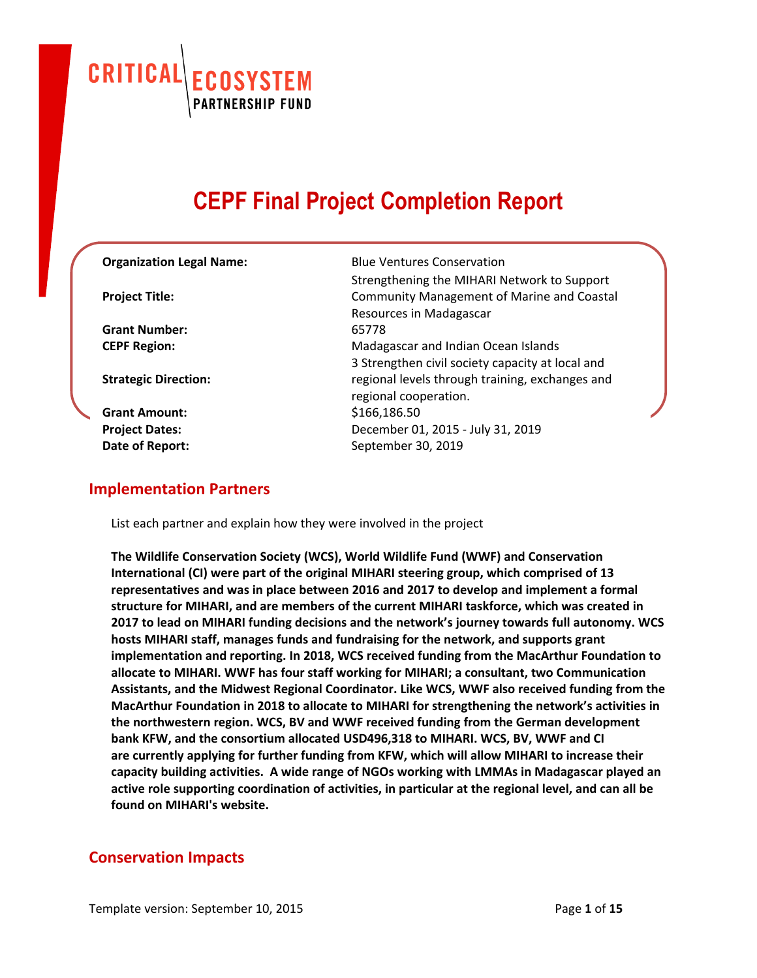CRITICAL **ECOSYSTEM**<br>PARTNERSHIP FUND

# **CEPF Final Project Completion Report**

| <b>Organization Legal Name:</b> | <b>Blue Ventures Conservation</b>                 |  |
|---------------------------------|---------------------------------------------------|--|
|                                 | Strengthening the MIHARI Network to Support       |  |
| <b>Project Title:</b>           | <b>Community Management of Marine and Coastal</b> |  |
|                                 | Resources in Madagascar                           |  |
| <b>Grant Number:</b>            | 65778                                             |  |
| <b>CEPF Region:</b>             | Madagascar and Indian Ocean Islands               |  |
|                                 | 3 Strengthen civil society capacity at local and  |  |
| <b>Strategic Direction:</b>     | regional levels through training, exchanges and   |  |
|                                 | regional cooperation.                             |  |
| <b>Grant Amount:</b>            | \$166,186.50                                      |  |
| <b>Project Dates:</b>           | December 01, 2015 - July 31, 2019                 |  |
| Date of Report:                 | September 30, 2019                                |  |
|                                 |                                                   |  |

### **Implementation Partners**

List each partner and explain how they were involved in the project

**The Wildlife Conservation Society (WCS), World Wildlife Fund (WWF) and Conservation International (CI) were part of the original MIHARI steering group, which comprised of 13 representatives and was in place between 2016 and 2017 to develop and implement a formal structure for MIHARI, and are members of the current MIHARI taskforce, which was created in 2017 to lead on MIHARI funding decisions and the network's journey towards full autonomy. WCS hosts MIHARI staff, manages funds and fundraising for the network, and supports grant implementation and reporting. In 2018, WCS received funding from the MacArthur Foundation to allocate to MIHARI. WWF has four staff working for MIHARI; a consultant, two Communication Assistants, and the Midwest Regional Coordinator. Like WCS, WWF also received funding from the MacArthur Foundation in 2018 to allocate to MIHARI for strengthening the network's activities in the northwestern region. WCS, BV and WWF received funding from the German development bank KFW, and the consortium allocated USD496,318 to MIHARI. WCS, BV, WWF and CI are currently applying for further funding from KFW, which will allow MIHARI to increase their capacity building activities. A wide range of NGOs working with LMMAs in Madagascar played an active role supporting coordination of activities, in particular at the regional level, and can all be found on MIHARI's website.**

## **Conservation Impacts**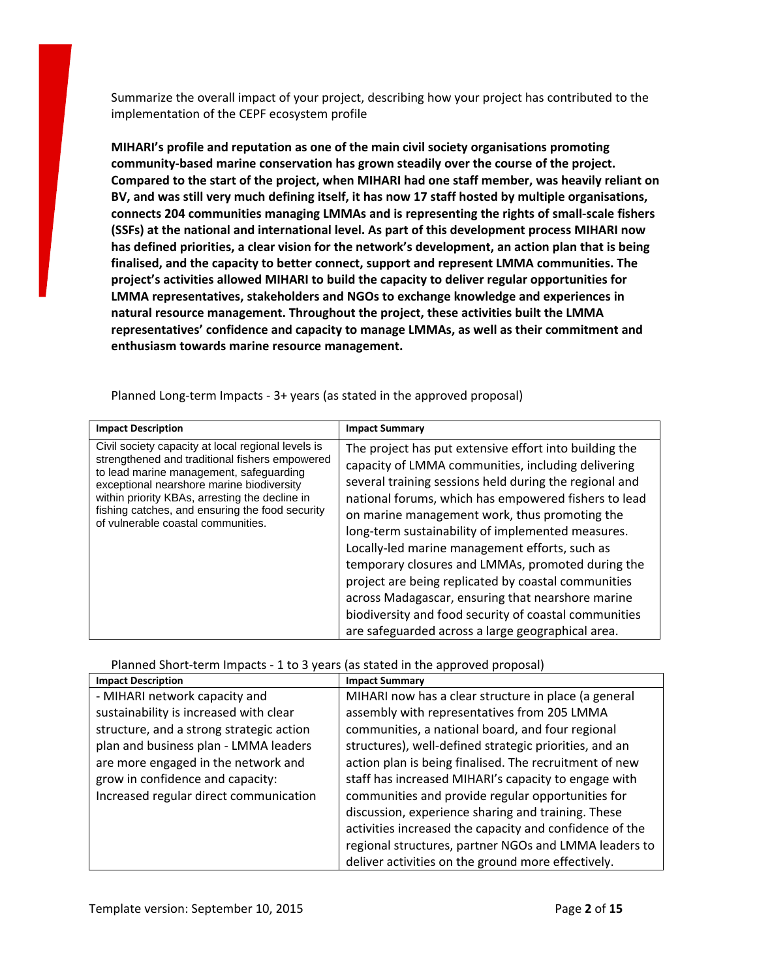Summarize the overall impact of your project, describing how your project has contributed to the implementation of the CEPF ecosystem profile

**MIHARI's profile and reputation as one of the main civil society organisations promoting community-based marine conservation has grown steadily over the course of the project. Compared to the start of the project, when MIHARI had one staff member, was heavily reliant on BV, and was still very much defining itself, it has now 17 staff hosted by multiple organisations, connects 204 communities managing LMMAs and is representing the rights of small-scale fishers (SSFs) at the national and international level. As part of this development process MIHARI now has defined priorities, a clear vision for the network's development, an action plan that is being finalised, and the capacity to better connect, support and represent LMMA communities. The project's activities allowed MIHARI to build the capacity to deliver regular opportunities for LMMA representatives, stakeholders and NGOs to exchange knowledge and experiences in natural resource management. Throughout the project, these activities built the LMMA representatives' confidence and capacity to manage LMMAs, as well as their commitment and enthusiasm towards marine resource management.**

| <b>Impact Description</b>                                                                                                                                                                                                                                                                                                               | <b>Impact Summary</b>                                                                                                                                                                                                                                                                                                                                                                                                                                                                                                                                                                                                                                                 |
|-----------------------------------------------------------------------------------------------------------------------------------------------------------------------------------------------------------------------------------------------------------------------------------------------------------------------------------------|-----------------------------------------------------------------------------------------------------------------------------------------------------------------------------------------------------------------------------------------------------------------------------------------------------------------------------------------------------------------------------------------------------------------------------------------------------------------------------------------------------------------------------------------------------------------------------------------------------------------------------------------------------------------------|
| Civil society capacity at local regional levels is<br>strengthened and traditional fishers empowered<br>to lead marine management, safeguarding<br>exceptional nearshore marine biodiversity<br>within priority KBAs, arresting the decline in<br>fishing catches, and ensuring the food security<br>of vulnerable coastal communities. | The project has put extensive effort into building the<br>capacity of LMMA communities, including delivering<br>several training sessions held during the regional and<br>national forums, which has empowered fishers to lead<br>on marine management work, thus promoting the<br>long-term sustainability of implemented measures.<br>Locally-led marine management efforts, such as<br>temporary closures and LMMAs, promoted during the<br>project are being replicated by coastal communities<br>across Madagascar, ensuring that nearshore marine<br>biodiversity and food security of coastal communities<br>are safeguarded across a large geographical area. |

Planned Long-term Impacts - 3+ years (as stated in the approved proposal)

Planned Short-term Impacts - 1 to 3 years (as stated in the approved proposal)

| <b>Impact Description</b>                | <b>Impact Summary</b>                                   |
|------------------------------------------|---------------------------------------------------------|
| - MIHARI network capacity and            | MIHARI now has a clear structure in place (a general    |
| sustainability is increased with clear   | assembly with representatives from 205 LMMA             |
| structure, and a strong strategic action | communities, a national board, and four regional        |
| plan and business plan - LMMA leaders    | structures), well-defined strategic priorities, and an  |
| are more engaged in the network and      | action plan is being finalised. The recruitment of new  |
| grow in confidence and capacity:         | staff has increased MIHARI's capacity to engage with    |
| Increased regular direct communication   | communities and provide regular opportunities for       |
|                                          | discussion, experience sharing and training. These      |
|                                          | activities increased the capacity and confidence of the |
|                                          | regional structures, partner NGOs and LMMA leaders to   |
|                                          | deliver activities on the ground more effectively.      |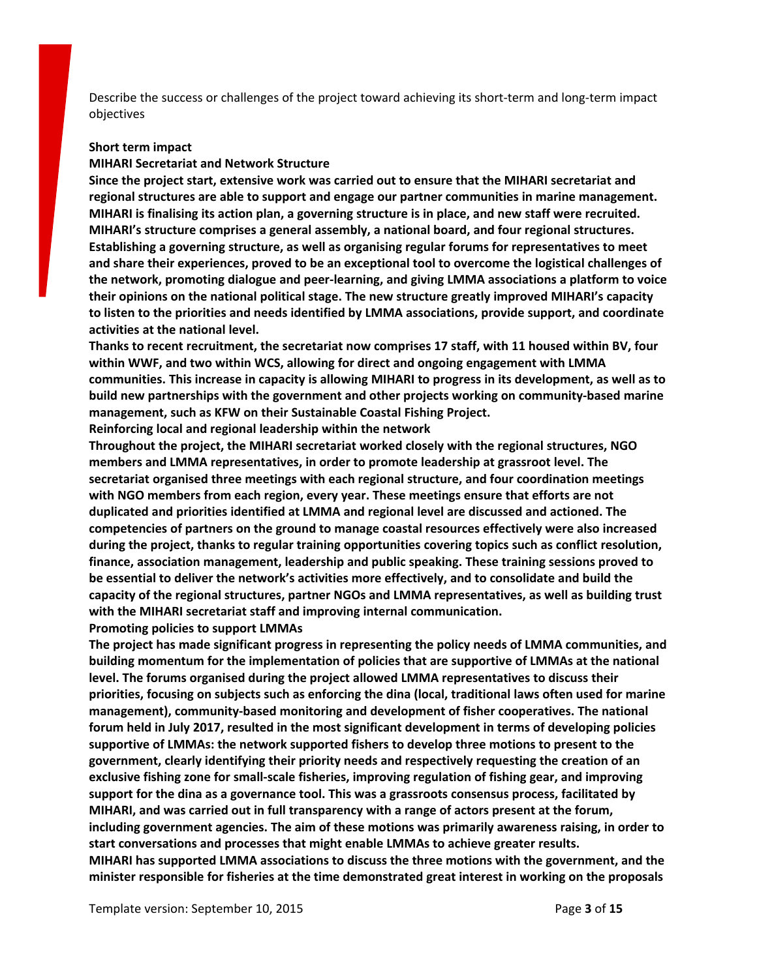Describe the success or challenges of the project toward achieving its short-term and long-term impact objectives

#### **Short term impact**

#### **MIHARI Secretariat and Network Structure**

**Since the project start, extensive work was carried out to ensure that the MIHARI secretariat and regional structures are able to support and engage our partner communities in marine management. MIHARI is finalising its action plan, a governing structure is in place, and new staff were recruited. MIHARI's structure comprises a general assembly, a national board, and four regional structures. Establishing a governing structure, as well as organising regular forums for representatives to meet and share their experiences, proved to be an exceptional tool to overcome the logistical challenges of the network, promoting dialogue and peer-learning, and giving LMMA associations a platform to voice their opinions on the national political stage. The new structure greatly improved MIHARI's capacity to listen to the priorities and needs identified by LMMA associations, provide support, and coordinate activities at the national level.**

**Thanks to recent recruitment, the secretariat now comprises 17 staff, with 11 housed within BV, four within WWF, and two within WCS, allowing for direct and ongoing engagement with LMMA communities. This increase in capacity is allowing MIHARI to progress in its development, as well as to build new partnerships with the government and other projects working on community-based marine management, such as KFW on their Sustainable Coastal Fishing Project.**

**Reinforcing local and regional leadership within the network**

**Throughout the project, the MIHARI secretariat worked closely with the regional structures, NGO members and LMMA representatives, in order to promote leadership at grassroot level. The secretariat organised three meetings with each regional structure, and four coordination meetings with NGO members from each region, every year. These meetings ensure that efforts are not duplicated and priorities identified at LMMA and regional level are discussed and actioned. The competencies of partners on the ground to manage coastal resources effectively were also increased during the project, thanks to regular training opportunities covering topics such as conflict resolution, finance, association management, leadership and public speaking. These training sessions proved to be essential to deliver the network's activities more effectively, and to consolidate and build the capacity of the regional structures, partner NGOs and LMMA representatives, as well as building trust with the MIHARI secretariat staff and improving internal communication.**

**Promoting policies to support LMMAs**

**The project has made significant progress in representing the policy needs of LMMA communities, and building momentum for the implementation of policies that are supportive of LMMAs at the national level. The forums organised during the project allowed LMMA representatives to discuss their priorities, focusing on subjects such as enforcing the dina (local, traditional laws often used for marine management), community-based monitoring and development of fisher cooperatives. The national forum held in July 2017, resulted in the most significant development in terms of developing policies supportive of LMMAs: the network supported fishers to develop three motions to present to the government, clearly identifying their priority needs and respectively requesting the creation of an exclusive fishing zone for small-scale fisheries, improving regulation of fishing gear, and improving support for the dina as a governance tool. This was a grassroots consensus process, facilitated by MIHARI, and was carried out in full transparency with a range of actors present at the forum, including government agencies. The aim of these motions was primarily awareness raising, in order to start conversations and processes that might enable LMMAs to achieve greater results. MIHARI has supported LMMA associations to discuss the three motions with the government, and the minister responsible for fisheries at the time demonstrated great interest in working on the proposals**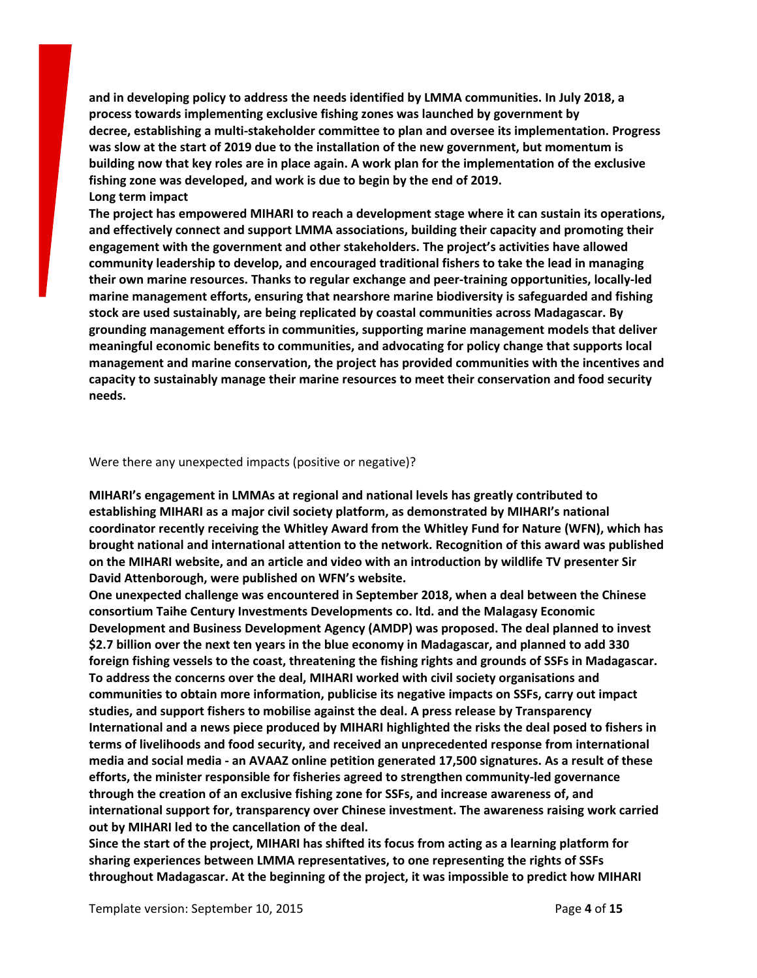**and in developing policy to address the needs identified by LMMA communities. In July 2018, a process towards implementing exclusive fishing zones was launched by government by decree, establishing a multi-stakeholder committee to plan and oversee its implementation. Progress was slow at the start of 2019 due to the installation of the new government, but momentum is** building now that key roles are in place again. A work plan for the implementation of the exclusive **fishing zone was developed, and work is due to begin by the end of 2019. Long term impact**

**The project has empowered MIHARI to reach a development stage where it can sustain its operations, and effectively connect and support LMMA associations, building their capacity and promoting their engagement with the government and other stakeholders. The project's activities have allowed community leadership to develop, and encouraged traditional fishers to take the lead in managing their own marine resources. Thanks to regular exchange and peer-training opportunities, locally-led marine management efforts, ensuring that nearshore marine biodiversity is safeguarded and fishing stock are used sustainably, are being replicated by coastal communities across Madagascar. By grounding management efforts in communities, supporting marine management models that deliver meaningful economic benefits to communities, and advocating for policy change that supports local management and marine conservation, the project has provided communities with the incentives and capacity to sustainably manage their marine resources to meet their conservation and food security needs.**

#### Were there any unexpected impacts (positive or negative)?

**MIHARI's engagement in LMMAs at regional and national levels has greatly contributed to establishing MIHARI as a major civil society platform, as demonstrated by MIHARI's national coordinator recently receiving the [Whitley](https://whitleyaward.org/winners/mihari-a-civil-society-movement-to-safeguard-marine-resources/) Award from the Whitley Fund for Nature (WFN), which has brought national and international attention to the network. Recognition of this award was published on the MIHARI [website,](https://blueventures.org/mihari-network-wins-prestigious-conservation-prize/) and an article and video with an introduction by wildlife TV presenter Sir David Attenborough, were published on WFN's [website.](https://whitleyaward.org/winners/mihari-a-civil-society-movement-to-safeguard-marine-resources/)**

**One unexpected challenge was encountered in September 2018, when a [deal](https://mihari-network.org/news/concerns-soar-over-sustainability-of-madagascar-chinese-fisheries-deal/) between the Chinese consortium Taihe Century Investments Developments co. ltd. and the Malagasy Economic Development and Business Development Agency (AMDP) was proposed. The deal planned to invest \$2.7 billion over the next ten years in the blue economy in Madagascar, and planned to add 330 foreign fishing vessels to the coast, threatening the fishing rights and grounds of SSFs in Madagascar. To address the concerns over the deal, MIHARI worked with civil society organisations and communities to obtain more information, publicise its negative impacts on SSFs, carry out impact studies, and support fishers to mobilise against the deal. A press [release](https://transparency.mg/menace-sur-l-economie-bleue-a-madagascar) by Transparency International and a news [piece](https://mihari-network.org/news/concerns-soar-over-sustainability-of-madagascar-chinese-fisheries-deal/) produced by MIHARI highlighted the risks the deal posed to fishers in terms of livelihoods and food security, and received an unprecedented response from [international](https://www.dailymail.co.uk/wires/afp/article-6490657/Chinese-fishing-deal-makes-waves-ahead-Madagascar-polls.html) [media](https://www.dailymail.co.uk/wires/afp/article-6490657/Chinese-fishing-deal-makes-waves-ahead-Madagascar-polls.html) and social [media](https://www.facebook.com/transparencymadagascar/posts/1321376877999759) - an AVAAZ online [petition](https://secure.avaaz.org/fr/community_petitions/Le_gouvernement_Malgache_le_gouvernement_Chinois_Madagascar_Revoquer_laccord_de_peche_avec_la_Chine/) generated 17,500 signatures. As a result of these efforts, the minister responsible for fisheries agreed to strengthen community-led governance through the creation of an exclusive fishing zone for SSFs, and increase awareness of, and international support for, transparency over Chinese investment. The awareness raising work carried out by MIHARI led to the cancellation of the deal.**

Since the start of the project, MIHARI has shifted its focus from acting as a learning platform for **sharing experiences between LMMA representatives, to one representing the rights of SSFs throughout Madagascar. At the beginning of the project, it was impossible to predict how MIHARI**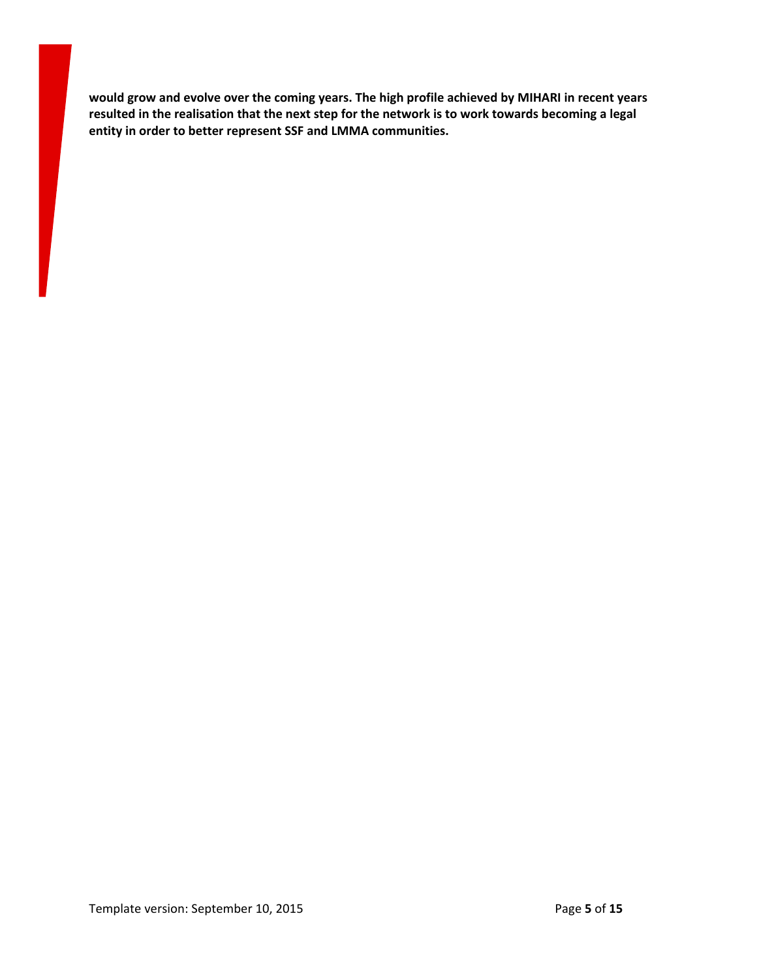**would grow and evolve over the coming years. The high profile achieved by MIHARI in recent years resulted in the realisation that the next step for the network is to work towards becoming a legal entity in order to better represent SSF and LMMA communities.**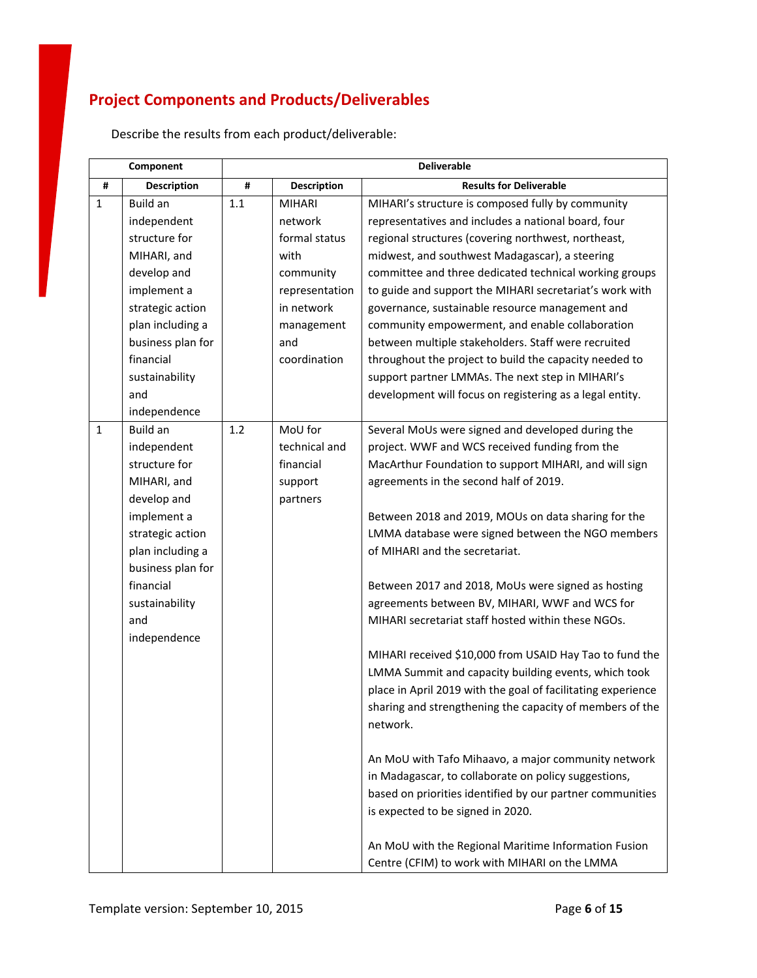# **Project Components and Products/Deliverables**

| Component    |                    | <b>Deliverable</b> |                    |                                                              |
|--------------|--------------------|--------------------|--------------------|--------------------------------------------------------------|
| #            | <b>Description</b> | #                  | <b>Description</b> | <b>Results for Deliverable</b>                               |
| $\mathbf{1}$ | Build an           | 1.1                | <b>MIHARI</b>      | MIHARI's structure is composed fully by community            |
|              | independent        |                    | network            | representatives and includes a national board, four          |
|              | structure for      |                    | formal status      | regional structures (covering northwest, northeast,          |
|              | MIHARI, and        |                    | with               | midwest, and southwest Madagascar), a steering               |
|              | develop and        |                    | community          | committee and three dedicated technical working groups       |
|              | implement a        |                    | representation     | to guide and support the MIHARI secretariat's work with      |
|              | strategic action   |                    | in network         | governance, sustainable resource management and              |
|              | plan including a   |                    | management         | community empowerment, and enable collaboration              |
|              | business plan for  |                    | and                | between multiple stakeholders. Staff were recruited          |
|              | financial          |                    | coordination       | throughout the project to build the capacity needed to       |
|              | sustainability     |                    |                    | support partner LMMAs. The next step in MIHARI's             |
|              | and                |                    |                    | development will focus on registering as a legal entity.     |
|              | independence       |                    |                    |                                                              |
| $1\,$        | <b>Build an</b>    | 1.2                | MoU for            | Several MoUs were signed and developed during the            |
|              | independent        |                    | technical and      | project. WWF and WCS received funding from the               |
|              | structure for      |                    | financial          | MacArthur Foundation to support MIHARI, and will sign        |
|              | MIHARI, and        |                    | support            | agreements in the second half of 2019.                       |
|              | develop and        |                    | partners           |                                                              |
|              | implement a        |                    |                    | Between 2018 and 2019, MOUs on data sharing for the          |
|              | strategic action   |                    |                    | LMMA database were signed between the NGO members            |
|              | plan including a   |                    |                    | of MIHARI and the secretariat.                               |
|              | business plan for  |                    |                    |                                                              |
|              | financial          |                    |                    | Between 2017 and 2018, MoUs were signed as hosting           |
|              | sustainability     |                    |                    | agreements between BV, MIHARI, WWF and WCS for               |
|              | and                |                    |                    | MIHARI secretariat staff hosted within these NGOs.           |
|              | independence       |                    |                    |                                                              |
|              |                    |                    |                    | MIHARI received \$10,000 from USAID Hay Tao to fund the      |
|              |                    |                    |                    | LMMA Summit and capacity building events, which took         |
|              |                    |                    |                    | place in April 2019 with the goal of facilitating experience |
|              |                    |                    |                    | sharing and strengthening the capacity of members of the     |
|              |                    |                    |                    | network.                                                     |
|              |                    |                    |                    |                                                              |
|              |                    |                    |                    | An MoU with Tafo Mihaavo, a major community network          |
|              |                    |                    |                    | in Madagascar, to collaborate on policy suggestions,         |
|              |                    |                    |                    | based on priorities identified by our partner communities    |
|              |                    |                    |                    | is expected to be signed in 2020.                            |
|              |                    |                    |                    | An MoU with the Regional Maritime Information Fusion         |
|              |                    |                    |                    | Centre (CFIM) to work with MIHARI on the LMMA                |

Describe the results from each product/deliverable: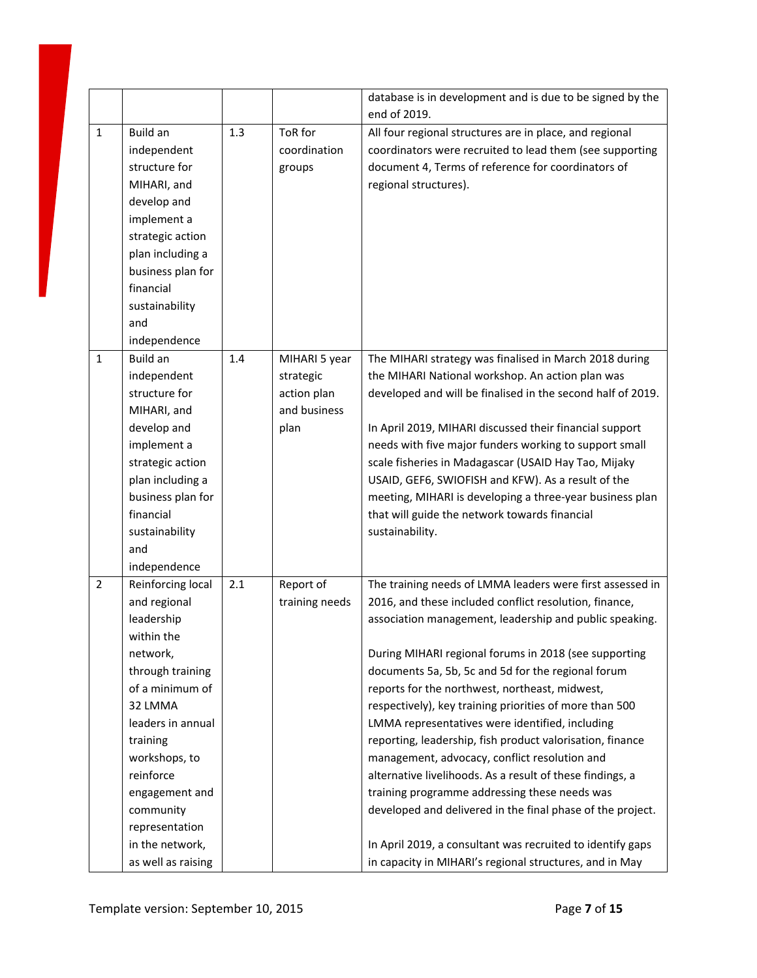|                |                    |     |                | database is in development and is due to be signed by the<br>end of 2019. |
|----------------|--------------------|-----|----------------|---------------------------------------------------------------------------|
| $\mathbf{1}$   | Build an           | 1.3 | ToR for        | All four regional structures are in place, and regional                   |
|                | independent        |     | coordination   | coordinators were recruited to lead them (see supporting                  |
|                | structure for      |     | groups         | document 4, Terms of reference for coordinators of                        |
|                | MIHARI, and        |     |                | regional structures).                                                     |
|                | develop and        |     |                |                                                                           |
|                | implement a        |     |                |                                                                           |
|                | strategic action   |     |                |                                                                           |
|                | plan including a   |     |                |                                                                           |
|                | business plan for  |     |                |                                                                           |
|                | financial          |     |                |                                                                           |
|                | sustainability     |     |                |                                                                           |
|                | and                |     |                |                                                                           |
|                | independence       |     |                |                                                                           |
| $\mathbf{1}$   | Build an           | 1.4 | MIHARI 5 year  | The MIHARI strategy was finalised in March 2018 during                    |
|                | independent        |     | strategic      | the MIHARI National workshop. An action plan was                          |
|                | structure for      |     | action plan    | developed and will be finalised in the second half of 2019.               |
|                | MIHARI, and        |     | and business   |                                                                           |
|                | develop and        |     | plan           | In April 2019, MIHARI discussed their financial support                   |
|                | implement a        |     |                | needs with five major funders working to support small                    |
|                | strategic action   |     |                | scale fisheries in Madagascar (USAID Hay Tao, Mijaky                      |
|                | plan including a   |     |                | USAID, GEF6, SWIOFISH and KFW). As a result of the                        |
|                | business plan for  |     |                | meeting, MIHARI is developing a three-year business plan                  |
|                | financial          |     |                | that will guide the network towards financial                             |
|                | sustainability     |     |                | sustainability.                                                           |
|                | and                |     |                |                                                                           |
|                | independence       |     |                |                                                                           |
| $\overline{2}$ | Reinforcing local  | 2.1 | Report of      | The training needs of LMMA leaders were first assessed in                 |
|                | and regional       |     | training needs | 2016, and these included conflict resolution, finance,                    |
|                | leadership         |     |                | association management, leadership and public speaking.                   |
|                | within the         |     |                |                                                                           |
|                | network,           |     |                | During MIHARI regional forums in 2018 (see supporting                     |
|                | through training   |     |                | documents 5a, 5b, 5c and 5d for the regional forum                        |
|                | of a minimum of    |     |                | reports for the northwest, northeast, midwest,                            |
|                | 32 LMMA            |     |                | respectively), key training priorities of more than 500                   |
|                | leaders in annual  |     |                | LMMA representatives were identified, including                           |
|                | training           |     |                | reporting, leadership, fish product valorisation, finance                 |
|                | workshops, to      |     |                | management, advocacy, conflict resolution and                             |
|                | reinforce          |     |                | alternative livelihoods. As a result of these findings, a                 |
|                | engagement and     |     |                | training programme addressing these needs was                             |
|                | community          |     |                | developed and delivered in the final phase of the project.                |
|                | representation     |     |                |                                                                           |
|                | in the network,    |     |                | In April 2019, a consultant was recruited to identify gaps                |
|                | as well as raising |     |                | in capacity in MIHARI's regional structures, and in May                   |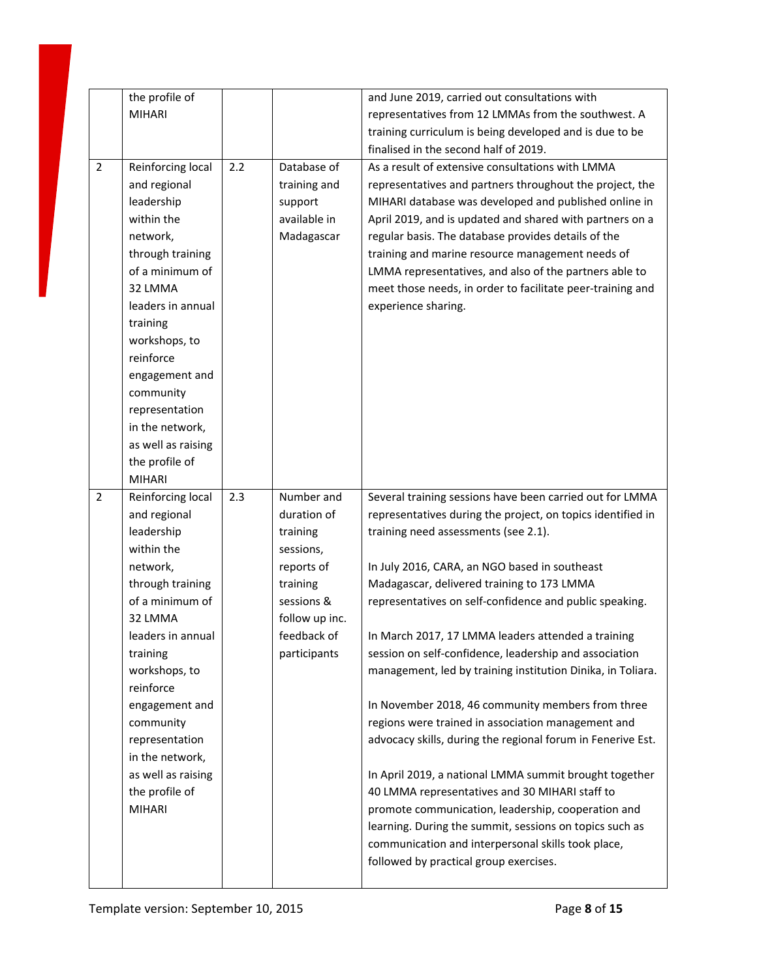|                | the profile of              |     |                | and June 2019, carried out consultations with                                                           |
|----------------|-----------------------------|-----|----------------|---------------------------------------------------------------------------------------------------------|
|                | <b>MIHARI</b>               |     |                | representatives from 12 LMMAs from the southwest. A                                                     |
|                |                             |     |                | training curriculum is being developed and is due to be                                                 |
|                |                             |     |                | finalised in the second half of 2019.                                                                   |
| $\overline{2}$ | Reinforcing local           | 2.2 | Database of    | As a result of extensive consultations with LMMA                                                        |
|                | and regional                |     | training and   | representatives and partners throughout the project, the                                                |
|                | leadership                  |     | support        | MIHARI database was developed and published online in                                                   |
|                | within the                  |     | available in   | April 2019, and is updated and shared with partners on a                                                |
|                | network,                    |     | Madagascar     | regular basis. The database provides details of the                                                     |
|                | through training            |     |                | training and marine resource management needs of                                                        |
|                | of a minimum of             |     |                | LMMA representatives, and also of the partners able to                                                  |
|                | 32 LMMA                     |     |                | meet those needs, in order to facilitate peer-training and                                              |
|                | leaders in annual           |     |                | experience sharing.                                                                                     |
|                | training                    |     |                |                                                                                                         |
|                | workshops, to               |     |                |                                                                                                         |
|                | reinforce                   |     |                |                                                                                                         |
|                | engagement and              |     |                |                                                                                                         |
|                | community                   |     |                |                                                                                                         |
|                | representation              |     |                |                                                                                                         |
|                | in the network,             |     |                |                                                                                                         |
|                | as well as raising          |     |                |                                                                                                         |
|                | the profile of              |     |                |                                                                                                         |
|                | <b>MIHARI</b>               |     |                |                                                                                                         |
|                |                             |     |                |                                                                                                         |
| $\overline{2}$ | Reinforcing local           | 2.3 | Number and     | Several training sessions have been carried out for LMMA                                                |
|                | and regional                |     | duration of    | representatives during the project, on topics identified in                                             |
|                | leadership                  |     | training       | training need assessments (see 2.1).                                                                    |
|                | within the                  |     | sessions,      |                                                                                                         |
|                | network,                    |     | reports of     | In July 2016, CARA, an NGO based in southeast                                                           |
|                | through training            |     | training       | Madagascar, delivered training to 173 LMMA                                                              |
|                | of a minimum of             |     | sessions &     | representatives on self-confidence and public speaking.                                                 |
|                | 32 LMMA                     |     | follow up inc. |                                                                                                         |
|                | leaders in annual           |     | feedback of    | In March 2017, 17 LMMA leaders attended a training                                                      |
|                | training                    |     | participants   | session on self-confidence, leadership and association                                                  |
|                | workshops, to               |     |                | management, led by training institution Dinika, in Toliara.                                             |
|                | reinforce                   |     |                |                                                                                                         |
|                | engagement and              |     |                | In November 2018, 46 community members from three<br>regions were trained in association management and |
|                | community<br>representation |     |                | advocacy skills, during the regional forum in Fenerive Est.                                             |
|                | in the network,             |     |                |                                                                                                         |
|                | as well as raising          |     |                | In April 2019, a national LMMA summit brought together                                                  |
|                | the profile of              |     |                | 40 LMMA representatives and 30 MIHARI staff to                                                          |
|                | <b>MIHARI</b>               |     |                | promote communication, leadership, cooperation and                                                      |
|                |                             |     |                | learning. During the summit, sessions on topics such as                                                 |
|                |                             |     |                | communication and interpersonal skills took place,                                                      |
|                |                             |     |                | followed by practical group exercises.                                                                  |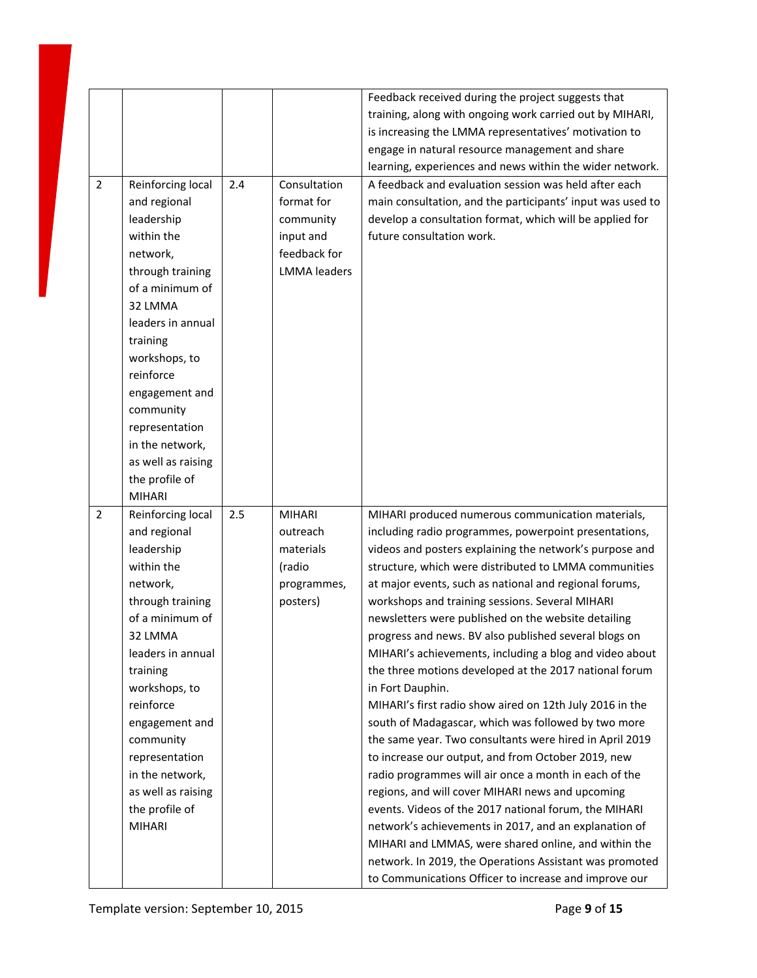|                |                    |     |                     | Feedback received during the project suggests that         |
|----------------|--------------------|-----|---------------------|------------------------------------------------------------|
|                |                    |     |                     | training, along with ongoing work carried out by MIHARI,   |
|                |                    |     |                     | is increasing the LMMA representatives' motivation to      |
|                |                    |     |                     | engage in natural resource management and share            |
|                |                    |     |                     |                                                            |
|                |                    |     |                     | learning, experiences and news within the wider network.   |
| $\overline{2}$ | Reinforcing local  | 2.4 | Consultation        | A feedback and evaluation session was held after each      |
|                | and regional       |     | format for          | main consultation, and the participants' input was used to |
|                | leadership         |     | community           | develop a consultation format, which will be applied for   |
|                | within the         |     | input and           | future consultation work.                                  |
|                | network,           |     | feedback for        |                                                            |
|                | through training   |     | <b>LMMA</b> leaders |                                                            |
|                | of a minimum of    |     |                     |                                                            |
|                | 32 LMMA            |     |                     |                                                            |
|                | leaders in annual  |     |                     |                                                            |
|                | training           |     |                     |                                                            |
|                | workshops, to      |     |                     |                                                            |
|                | reinforce          |     |                     |                                                            |
|                | engagement and     |     |                     |                                                            |
|                | community          |     |                     |                                                            |
|                | representation     |     |                     |                                                            |
|                | in the network,    |     |                     |                                                            |
|                | as well as raising |     |                     |                                                            |
|                | the profile of     |     |                     |                                                            |
|                | <b>MIHARI</b>      |     |                     |                                                            |
| $\overline{2}$ | Reinforcing local  | 2.5 | <b>MIHARI</b>       | MIHARI produced numerous communication materials,          |
|                | and regional       |     | outreach            | including radio programmes, powerpoint presentations,      |
|                | leadership         |     | materials           | videos and posters explaining the network's purpose and    |
|                | within the         |     | (radio              | structure, which were distributed to LMMA communities      |
|                | network,           |     | programmes,         | at major events, such as national and regional forums,     |
|                | through training   |     | posters)            | workshops and training sessions. Several MIHARI            |
|                | of a minimum of    |     |                     | newsletters were published on the website detailing        |
|                | 32 LMMA            |     |                     | progress and news. BV also published several blogs on      |
|                | leaders in annual  |     |                     | MIHARI's achievements, including a blog and video about    |
|                | training           |     |                     | the three motions developed at the 2017 national forum     |
|                | workshops, to      |     |                     | in Fort Dauphin.                                           |
|                | reinforce          |     |                     | MIHARI's first radio show aired on 12th July 2016 in the   |
|                | engagement and     |     |                     | south of Madagascar, which was followed by two more        |
|                | community          |     |                     | the same year. Two consultants were hired in April 2019    |
|                | representation     |     |                     | to increase our output, and from October 2019, new         |
|                | in the network,    |     |                     | radio programmes will air once a month in each of the      |
|                | as well as raising |     |                     | regions, and will cover MIHARI news and upcoming           |
|                |                    |     |                     |                                                            |
|                | the profile of     |     |                     | events. Videos of the 2017 national forum, the MIHARI      |
|                | <b>MIHARI</b>      |     |                     | network's achievements in 2017, and an explanation of      |
|                |                    |     |                     | MIHARI and LMMAS, were shared online, and within the       |
|                |                    |     |                     | network. In 2019, the Operations Assistant was promoted    |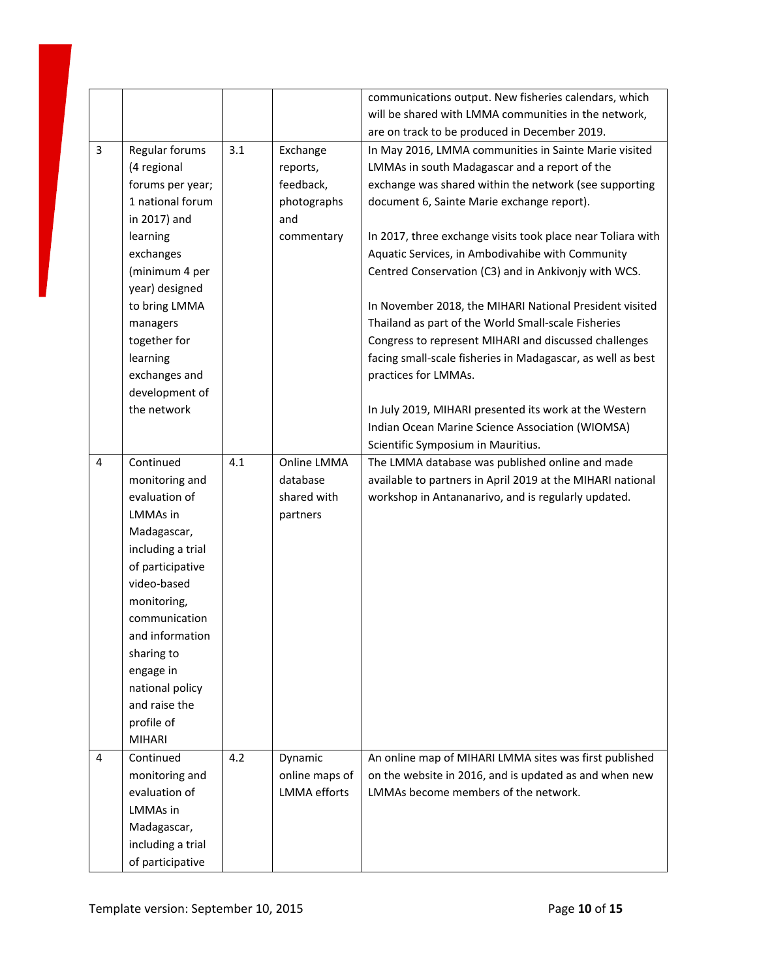|                |                   |     |                     | communications output. New fisheries calendars, which       |
|----------------|-------------------|-----|---------------------|-------------------------------------------------------------|
|                |                   |     |                     | will be shared with LMMA communities in the network,        |
|                |                   |     |                     | are on track to be produced in December 2019.               |
| 3              | Regular forums    | 3.1 | Exchange            | In May 2016, LMMA communities in Sainte Marie visited       |
|                | (4 regional       |     | reports,            | LMMAs in south Madagascar and a report of the               |
|                | forums per year;  |     | feedback,           | exchange was shared within the network (see supporting      |
|                | 1 national forum  |     | photographs         | document 6, Sainte Marie exchange report).                  |
|                | in 2017) and      |     | and                 |                                                             |
|                | learning          |     | commentary          | In 2017, three exchange visits took place near Toliara with |
|                | exchanges         |     |                     | Aquatic Services, in Ambodivahibe with Community            |
|                | (minimum 4 per    |     |                     | Centred Conservation (C3) and in Ankivonjy with WCS.        |
|                | year) designed    |     |                     |                                                             |
|                | to bring LMMA     |     |                     | In November 2018, the MIHARI National President visited     |
|                | managers          |     |                     | Thailand as part of the World Small-scale Fisheries         |
|                | together for      |     |                     | Congress to represent MIHARI and discussed challenges       |
|                | learning          |     |                     | facing small-scale fisheries in Madagascar, as well as best |
|                | exchanges and     |     |                     | practices for LMMAs.                                        |
|                | development of    |     |                     |                                                             |
|                | the network       |     |                     | In July 2019, MIHARI presented its work at the Western      |
|                |                   |     |                     | Indian Ocean Marine Science Association (WIOMSA)            |
|                |                   |     |                     | Scientific Symposium in Mauritius.                          |
| 4              | Continued         | 4.1 | Online LMMA         | The LMMA database was published online and made             |
|                | monitoring and    |     | database            | available to partners in April 2019 at the MIHARI national  |
|                | evaluation of     |     | shared with         | workshop in Antananarivo, and is regularly updated.         |
|                | LMMAs in          |     | partners            |                                                             |
|                | Madagascar,       |     |                     |                                                             |
|                | including a trial |     |                     |                                                             |
|                | of participative  |     |                     |                                                             |
|                | video-based       |     |                     |                                                             |
|                | monitoring,       |     |                     |                                                             |
|                | communication     |     |                     |                                                             |
|                | and information   |     |                     |                                                             |
|                | sharing to        |     |                     |                                                             |
|                | engage in         |     |                     |                                                             |
|                | national policy   |     |                     |                                                             |
|                | and raise the     |     |                     |                                                             |
|                | profile of        |     |                     |                                                             |
|                | <b>MIHARI</b>     |     |                     |                                                             |
| $\overline{4}$ | Continued         | 4.2 | Dynamic             | An online map of MIHARI LMMA sites was first published      |
|                | monitoring and    |     | online maps of      | on the website in 2016, and is updated as and when new      |
|                | evaluation of     |     | <b>LMMA</b> efforts | LMMAs become members of the network.                        |
|                | LMMAs in          |     |                     |                                                             |
|                | Madagascar,       |     |                     |                                                             |
|                | including a trial |     |                     |                                                             |
|                | of participative  |     |                     |                                                             |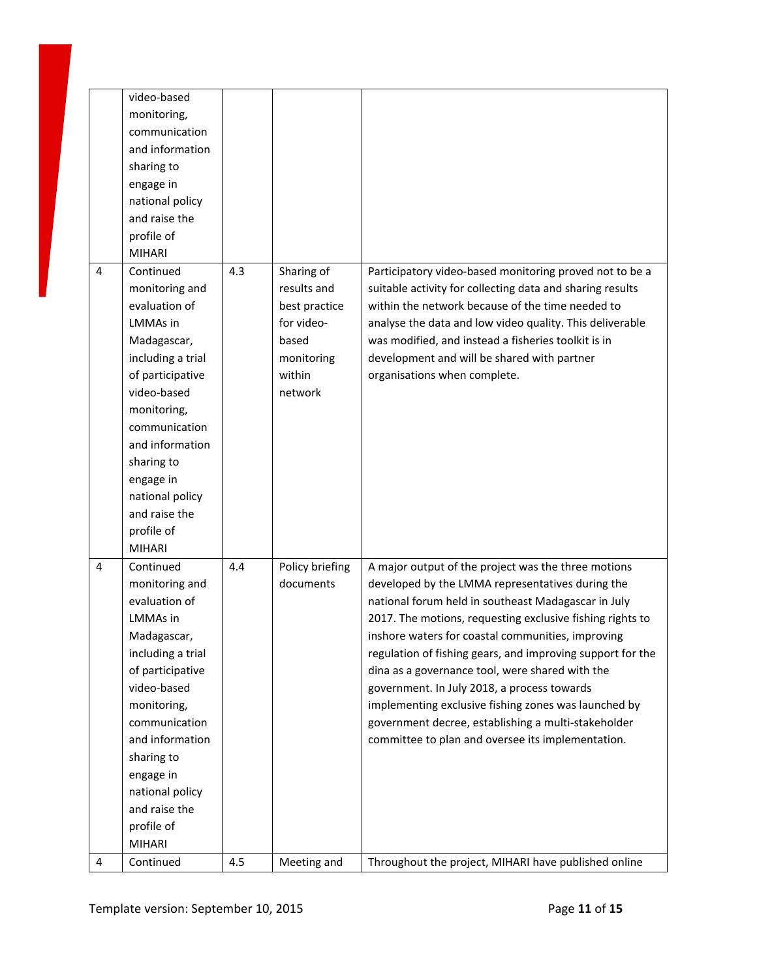|   | video-based<br>monitoring,<br>communication<br>and information<br>sharing to<br>engage in<br>national policy<br>and raise the<br>profile of<br><b>MIHARI</b>                                                                                                                            |     |                                                                                                      |                                                                                                                                                                                                                                                                                                                                                                                                                                                                                                                                                                                                                      |
|---|-----------------------------------------------------------------------------------------------------------------------------------------------------------------------------------------------------------------------------------------------------------------------------------------|-----|------------------------------------------------------------------------------------------------------|----------------------------------------------------------------------------------------------------------------------------------------------------------------------------------------------------------------------------------------------------------------------------------------------------------------------------------------------------------------------------------------------------------------------------------------------------------------------------------------------------------------------------------------------------------------------------------------------------------------------|
| 4 | Continued<br>monitoring and<br>evaluation of<br><b>LMMAs</b> in<br>Madagascar,<br>including a trial<br>of participative<br>video-based<br>monitoring,<br>communication<br>and information<br>sharing to<br>engage in<br>national policy<br>and raise the<br>profile of<br><b>MIHARI</b> | 4.3 | Sharing of<br>results and<br>best practice<br>for video-<br>based<br>monitoring<br>within<br>network | Participatory video-based monitoring proved not to be a<br>suitable activity for collecting data and sharing results<br>within the network because of the time needed to<br>analyse the data and low video quality. This deliverable<br>was modified, and instead a fisheries toolkit is in<br>development and will be shared with partner<br>organisations when complete.                                                                                                                                                                                                                                           |
| 4 | Continued<br>monitoring and<br>evaluation of<br><b>LMMAs</b> in<br>Madagascar,<br>including a trial<br>of participative<br>video-based<br>monitoring,<br>communication<br>and information<br>sharing to<br>engage in<br>national policy<br>and raise the<br>profile of<br><b>MIHARI</b> | 4.4 | Policy briefing<br>documents                                                                         | A major output of the project was the three motions<br>developed by the LMMA representatives during the<br>national forum held in southeast Madagascar in July<br>2017. The motions, requesting exclusive fishing rights to<br>inshore waters for coastal communities, improving<br>regulation of fishing gears, and improving support for the<br>dina as a governance tool, were shared with the<br>government. In July 2018, a process towards<br>implementing exclusive fishing zones was launched by<br>government decree, establishing a multi-stakeholder<br>committee to plan and oversee its implementation. |
| 4 | Continued                                                                                                                                                                                                                                                                               | 4.5 | Meeting and                                                                                          | Throughout the project, MIHARI have published online                                                                                                                                                                                                                                                                                                                                                                                                                                                                                                                                                                 |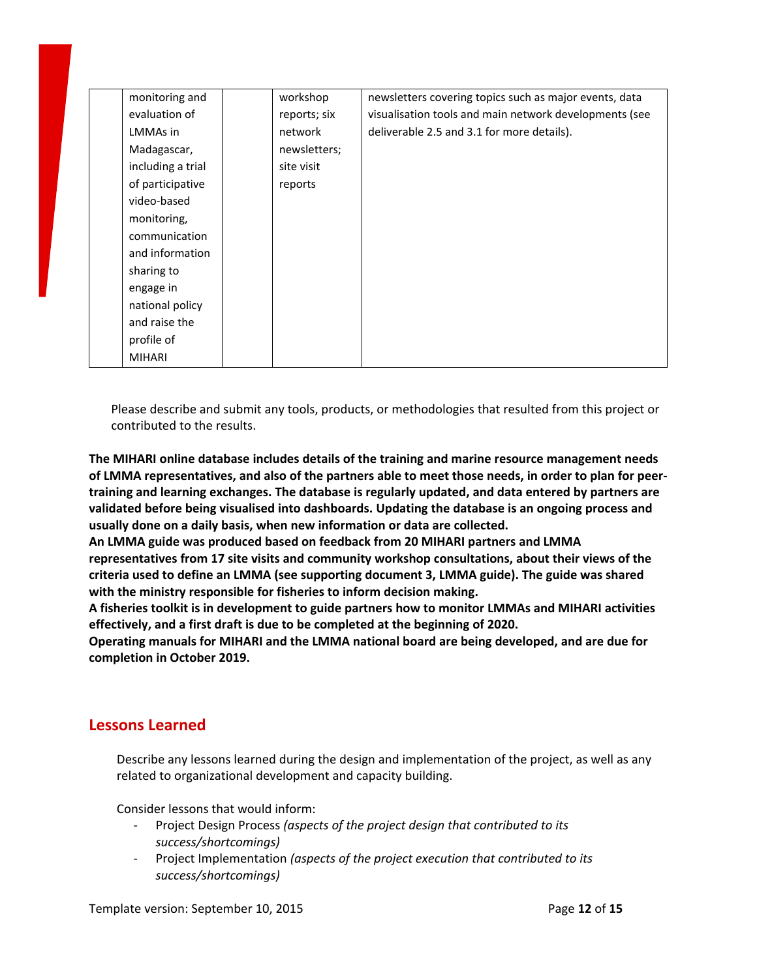| monitoring and    | workshop     | newsletters covering topics such as major events, data |
|-------------------|--------------|--------------------------------------------------------|
| evaluation of     | reports; six | visualisation tools and main network developments (see |
| LMMAs in          | network      | deliverable 2.5 and 3.1 for more details).             |
| Madagascar,       | newsletters; |                                                        |
| including a trial | site visit   |                                                        |
| of participative  | reports      |                                                        |
| video-based       |              |                                                        |
| monitoring,       |              |                                                        |
| communication     |              |                                                        |
| and information   |              |                                                        |
| sharing to        |              |                                                        |
| engage in         |              |                                                        |
| national policy   |              |                                                        |
| and raise the     |              |                                                        |
| profile of        |              |                                                        |
| <b>MIHARI</b>     |              |                                                        |

Please describe and submit any tools, products, or methodologies that resulted from this project or contributed to the results.

**The MIHARI online database includes details of the training and marine resource management needs** of LMMA representatives, and also of the partners able to meet those needs, in order to plan for peer**training and learning exchanges. The database is regularly updated, and data entered by partners are validated before being visualised into dashboards. Updating the database is an ongoing process and usually done on a daily basis, when new information or data are collected.**

**An LMMA guide was produced based on feedback from 20 MIHARI partners and LMMA representatives from 17 site visits and community workshop consultations, about their views of the criteria used to define an LMMA (see supporting document 3, LMMA guide). The guide was shared with the ministry responsible for fisheries to inform decision making.**

**A fisheries toolkit is in development to guide partners how to monitor LMMAs and MIHARI activities effectively, and a first draft is due to be completed at the beginning of 2020.**

**Operating manuals for MIHARI and the LMMA national board are being developed, and are due for completion in October 2019.**

## **Lessons Learned**

Describe any lessons learned during the design and implementation of the project, as well as any related to organizational development and capacity building.

Consider lessons that would inform:

- Project Design Process *(aspects of the project design that contributed to its success/shortcomings)*
- Project Implementation *(aspects of the project execution that contributed to its success/shortcomings)*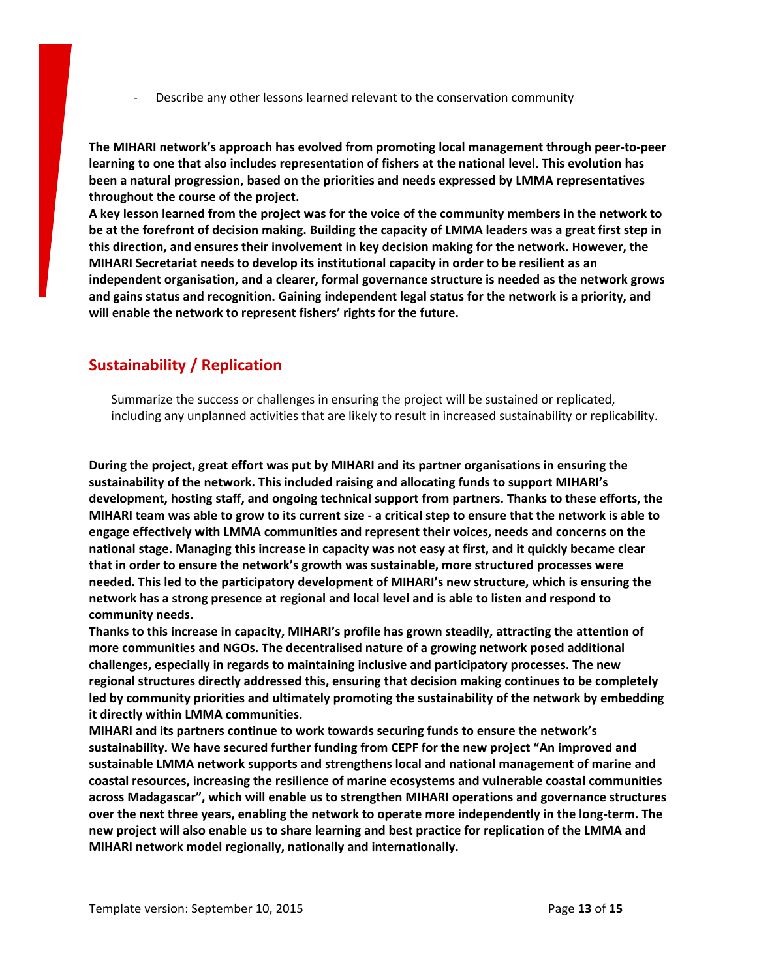- Describe any other lessons learned relevant to the conservation community

**The MIHARI network's approach has evolved from promoting local management through peer-to-peer learning to one that also includes representation of fishers at the national level. This evolution has been a natural progression, based on the priorities and needs expressed by LMMA representatives throughout the course of the project.**

A key lesson learned from the project was for the voice of the community members in the network to be at the forefront of decision making. Building the capacity of LMMA leaders was a great first step in **this direction, and ensures their involvement in key decision making for the network. However, the MIHARI Secretariat needs to develop its institutional capacity in order to be resilient as an independent organisation, and a clearer, formal governance structure is needed as the network grows and gains status and recognition. Gaining independent legal status for the network is a priority, and will enable the network to represent fishers' rights for the future.**

# **Sustainability / Replication**

Summarize the success or challenges in ensuring the project will be sustained or replicated, including any unplanned activities that are likely to result in increased sustainability or replicability.

**During the project, great effort was put by MIHARI and its partner organisations in ensuring the sustainability of the network. This included raising and allocating funds to support MIHARI's development, hosting staff, and ongoing technical support from partners. Thanks to these efforts, the** MIHARI team was able to grow to its current size - a critical step to ensure that the network is able to **engage effectively with LMMA communities and represent their voices, needs and concerns on the national stage. Managing this increase in capacity was not easy at first, and it quickly became clear that in order to ensure the network's growth was sustainable, more structured processes were needed. This led to the participatory development of MIHARI's new structure, which is ensuring the network has a strong presence at regional and local level and is able to listen and respond to community needs.**

**Thanks to this increase in capacity, MIHARI's profile has grown steadily, attracting the attention of more communities and NGOs. The decentralised nature of a growing network posed additional challenges, especially in regards to maintaining inclusive and participatory processes. The new regional structures directly addressed this, ensuring that decision making continues to be completely led by community priorities and ultimately promoting the sustainability of the network by embedding it directly within LMMA communities.**

**MIHARI and its partners continue to work towards securing funds to ensure the network's sustainability. We have secured further funding from CEPF for the new project "An improved and sustainable LMMA network supports and strengthens local and national management of marine and coastal resources, increasing the resilience of marine ecosystems and vulnerable coastal communities across Madagascar", which will enable us to strengthen MIHARI operations and governance structures over the next three years, enabling the network to operate more independently in the long-term. The** new project will also enable us to share learning and best practice for replication of the LMMA and **MIHARI network model regionally, nationally and internationally.**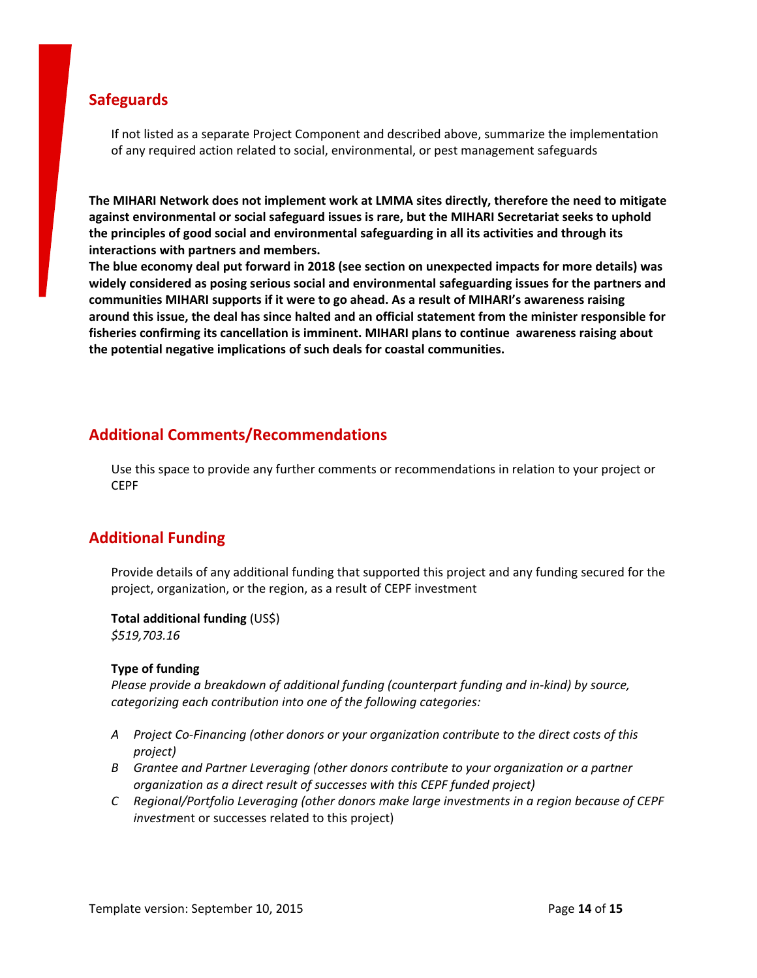## **Safeguards**

If not listed as a separate Project Component and described above, summarize the implementation of any required action related to social, environmental, or pest management safeguards

**The MIHARI Network does not implement work at LMMA sites directly, therefore the need to mitigate against environmental or social safeguard issues is rare, but the MIHARI Secretariat seeks to uphold the principles of good social and environmental safeguarding in all its activities and through its interactions with partners and members.**

**The blue economy [deal](https://mihari-network.org/news/concerns-soar-over-sustainability-of-madagascar-chinese-fisheries-deal/) put forward in 2018 (see section on unexpected impacts for more details) was widely considered as posing serious social and environmental safeguarding issues for the partners and communities MIHARI supports if it were to go ahead. As a result of MIHARI's awareness raising around this issue, the deal has since halted and an official statement from the minister responsible for fisheries confirming its cancellation is imminent. MIHARI plans to continue awareness raising about the potential negative implications of such deals for coastal communities.**

# **Additional Comments/Recommendations**

Use this space to provide any further comments or recommendations in relation to your project or CEPF

# **Additional Funding**

Provide details of any additional funding that supported this project and any funding secured for the project, organization, or the region, as a result of CEPF investment

**Total additional funding** (US\$)

*\$519,703.16*

#### **Type of funding**

*Please provide a breakdown of additional funding (counterpart funding and in-kind) by source, categorizing each contribution into one of the following categories:*

- *A Project Co-Financing (other donors or your organization contribute to the direct costs of this project)*
- *B Grantee and Partner Leveraging (other donors contribute to your organization or a partner organization as a direct result of successes with this CEPF funded project)*
- *C Regional/Portfolio Leveraging (other donors make large investments in a region because of CEPF investm*ent or successes related to this project)